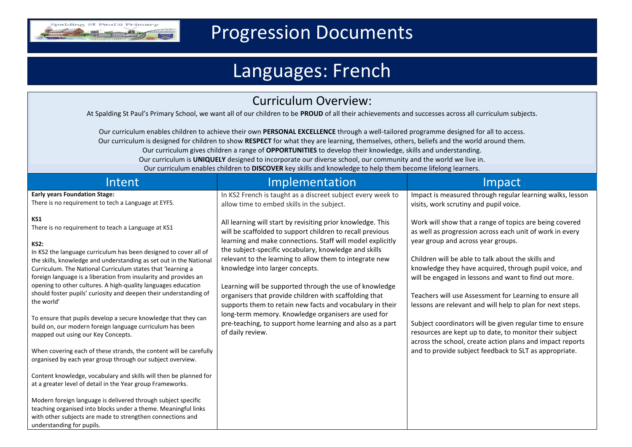

## Progression Documents

## Languages: French

| <b>Curriculum Overview:</b><br>At Spalding St Paul's Primary School, we want all of our children to be PROUD of all their achievements and successes across all curriculum subjects.                                                                                                                                                                                                                                                                                                                                                                                                                                                                                                                                                                                                                                                                                                                                                                  |                                                                                                                                                                                                                                                                                                                                                                                                                                                                                                                                                                                                                                                                         |                                                                                                                                                                                                                                                                                                                                                                                                                                                                                                                                                                                                                                                                                                            |  |  |  |
|-------------------------------------------------------------------------------------------------------------------------------------------------------------------------------------------------------------------------------------------------------------------------------------------------------------------------------------------------------------------------------------------------------------------------------------------------------------------------------------------------------------------------------------------------------------------------------------------------------------------------------------------------------------------------------------------------------------------------------------------------------------------------------------------------------------------------------------------------------------------------------------------------------------------------------------------------------|-------------------------------------------------------------------------------------------------------------------------------------------------------------------------------------------------------------------------------------------------------------------------------------------------------------------------------------------------------------------------------------------------------------------------------------------------------------------------------------------------------------------------------------------------------------------------------------------------------------------------------------------------------------------------|------------------------------------------------------------------------------------------------------------------------------------------------------------------------------------------------------------------------------------------------------------------------------------------------------------------------------------------------------------------------------------------------------------------------------------------------------------------------------------------------------------------------------------------------------------------------------------------------------------------------------------------------------------------------------------------------------------|--|--|--|
| Our curriculum enables children to achieve their own PERSONAL EXCELLENCE through a well-tailored programme designed for all to access.<br>Our curriculum is designed for children to show RESPECT for what they are learning, themselves, others, beliefs and the world around them.<br>Our curriculum gives children a range of OPPORTUNITIES to develop their knowledge, skills and understanding.<br>Our curriculum is UNIQUELY designed to incorporate our diverse school, our community and the world we live in.<br>Our curriculum enables children to DISCOVER key skills and knowledge to help them become lifelong learners.                                                                                                                                                                                                                                                                                                                 |                                                                                                                                                                                                                                                                                                                                                                                                                                                                                                                                                                                                                                                                         |                                                                                                                                                                                                                                                                                                                                                                                                                                                                                                                                                                                                                                                                                                            |  |  |  |
| Intent                                                                                                                                                                                                                                                                                                                                                                                                                                                                                                                                                                                                                                                                                                                                                                                                                                                                                                                                                | Implementation                                                                                                                                                                                                                                                                                                                                                                                                                                                                                                                                                                                                                                                          | Impact                                                                                                                                                                                                                                                                                                                                                                                                                                                                                                                                                                                                                                                                                                     |  |  |  |
| <b>Early years Foundation Stage:</b><br>There is no requirement to tech a Language at EYFS.                                                                                                                                                                                                                                                                                                                                                                                                                                                                                                                                                                                                                                                                                                                                                                                                                                                           | In KS2 French is taught as a discreet subject every week to<br>allow time to embed skills in the subject.                                                                                                                                                                                                                                                                                                                                                                                                                                                                                                                                                               | Impact is measured through regular learning walks, lesson<br>visits, work scrutiny and pupil voice.                                                                                                                                                                                                                                                                                                                                                                                                                                                                                                                                                                                                        |  |  |  |
| KS1<br>There is no requirement to teach a Language at KS1<br><b>KS2:</b><br>In KS2 the language curriculum has been designed to cover all of<br>the skills, knowledge and understanding as set out in the National<br>Curriculum. The National Curriculum states that 'learning a<br>foreign language is a liberation from insularity and provides an<br>opening to other cultures. A high-quality languages education<br>should foster pupils' curiosity and deepen their understanding of<br>the world'<br>To ensure that pupils develop a secure knowledge that they can<br>build on, our modern foreign language curriculum has been<br>mapped out using our Key Concepts.<br>When covering each of these strands, the content will be carefully<br>organised by each year group through our subject overview.<br>Content knowledge, vocabulary and skills will then be planned for<br>at a greater level of detail in the Year group Frameworks. | All learning will start by revisiting prior knowledge. This<br>will be scaffolded to support children to recall previous<br>learning and make connections. Staff will model explicitly<br>the subject-specific vocabulary, knowledge and skills<br>relevant to the learning to allow them to integrate new<br>knowledge into larger concepts.<br>Learning will be supported through the use of knowledge<br>organisers that provide children with scaffolding that<br>supports them to retain new facts and vocabulary in their<br>long-term memory. Knowledge organisers are used for<br>pre-teaching, to support home learning and also as a part<br>of daily review. | Work will show that a range of topics are being covered<br>as well as progression across each unit of work in every<br>year group and across year groups.<br>Children will be able to talk about the skills and<br>knowledge they have acquired, through pupil voice, and<br>will be engaged in lessons and want to find out more.<br>Teachers will use Assessment for Learning to ensure all<br>lessons are relevant and will help to plan for next steps.<br>Subject coordinators will be given regular time to ensure<br>resources are kept up to date, to monitor their subject<br>across the school, create action plans and impact reports<br>and to provide subject feedback to SLT as appropriate. |  |  |  |
| Modern foreign language is delivered through subject specific<br>teaching organised into blocks under a theme. Meaningful links<br>with other subjects are made to strengthen connections and<br>understanding for pupils.                                                                                                                                                                                                                                                                                                                                                                                                                                                                                                                                                                                                                                                                                                                            |                                                                                                                                                                                                                                                                                                                                                                                                                                                                                                                                                                                                                                                                         |                                                                                                                                                                                                                                                                                                                                                                                                                                                                                                                                                                                                                                                                                                            |  |  |  |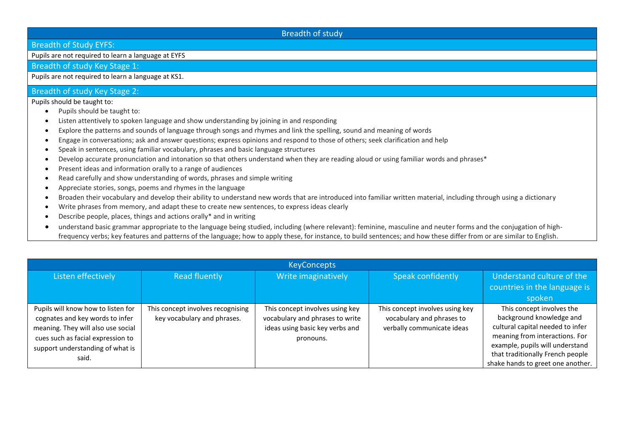## Breadth of study

Breadth of Study EYFS:

Pupils are not required to learn a language at EYFS

Breadth of study Key Stage 1:

Pupils are not required to learn a language at KS1.

## Breadth of study Key Stage 2:

Pupils should be taught to:

- Pupils should be taught to:
- Listen attentively to spoken language and show understanding by joining in and responding
- Explore the patterns and sounds of language through songs and rhymes and link the spelling, sound and meaning of words
- Engage in conversations; ask and answer questions; express opinions and respond to those of others; seek clarification and help
- Speak in sentences, using familiar vocabulary, phrases and basic language structures
- Develop accurate pronunciation and intonation so that others understand when they are reading aloud or using familiar words and phrases\*
- Present ideas and information orally to a range of audiences
- Read carefully and show understanding of words, phrases and simple writing
- Appreciate stories, songs, poems and rhymes in the language
- Broaden their vocabulary and develop their ability to understand new words that are introduced into familiar written material, including through using a dictionary
- Write phrases from memory, and adapt these to create new sentences, to express ideas clearly
- Describe people, places, things and actions orally\* and in writing
- understand basic grammar appropriate to the language being studied, including (where relevant): feminine, masculine and neuter forms and the conjugation of highfrequency verbs; key features and patterns of the language; how to apply these, for instance, to build sentences; and how these differ from or are similar to English.

| <b>KeyConcepts</b>                 |                                   |                                 |                                 |                                   |  |  |  |
|------------------------------------|-----------------------------------|---------------------------------|---------------------------------|-----------------------------------|--|--|--|
| Listen effectively                 | <b>Read fluently</b>              | Write imaginatively             | Speak confidently               | Understand culture of the         |  |  |  |
|                                    |                                   |                                 |                                 | countries in the language is      |  |  |  |
|                                    |                                   |                                 |                                 | spoken                            |  |  |  |
| Pupils will know how to listen for | This concept involves recognising | This concept involves using key | This concept involves using key | This concept involves the         |  |  |  |
| cognates and key words to infer    | key vocabulary and phrases.       | vocabulary and phrases to write | vocabulary and phrases to       | background knowledge and          |  |  |  |
| meaning. They will also use social |                                   | ideas using basic key verbs and | verbally communicate ideas      | cultural capital needed to infer  |  |  |  |
| cues such as facial expression to  |                                   | pronouns.                       |                                 | meaning from interactions. For    |  |  |  |
| support understanding of what is   |                                   |                                 |                                 | example, pupils will understand   |  |  |  |
| said.                              |                                   |                                 |                                 | that traditionally French people  |  |  |  |
|                                    |                                   |                                 |                                 | shake hands to greet one another. |  |  |  |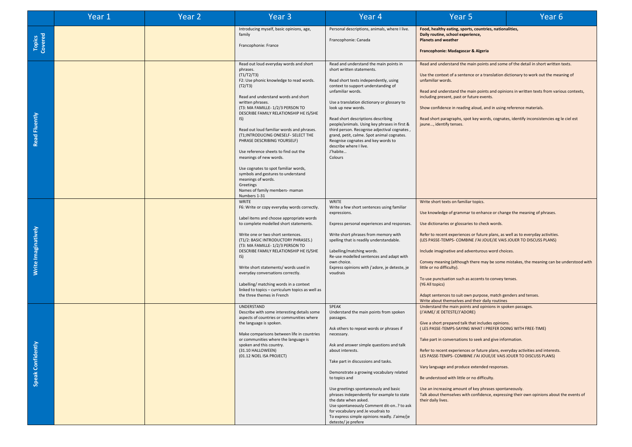|                          | Year 1 | Year <sub>2</sub> | Year <sub>3</sub>                                                                                                                                                                                                                                                                                                                                                                                                                                                                                                                                                                                                              | Year 4                                                                                                                                                                                                                                                                                                                                                                                                                                                                                                                                                           | Year 5                                                                                                                                                                                                                                                                                                                                                                                                                                                                                                                                                                                                                                                                                                            | Year <sub>6</sub> |
|--------------------------|--------|-------------------|--------------------------------------------------------------------------------------------------------------------------------------------------------------------------------------------------------------------------------------------------------------------------------------------------------------------------------------------------------------------------------------------------------------------------------------------------------------------------------------------------------------------------------------------------------------------------------------------------------------------------------|------------------------------------------------------------------------------------------------------------------------------------------------------------------------------------------------------------------------------------------------------------------------------------------------------------------------------------------------------------------------------------------------------------------------------------------------------------------------------------------------------------------------------------------------------------------|-------------------------------------------------------------------------------------------------------------------------------------------------------------------------------------------------------------------------------------------------------------------------------------------------------------------------------------------------------------------------------------------------------------------------------------------------------------------------------------------------------------------------------------------------------------------------------------------------------------------------------------------------------------------------------------------------------------------|-------------------|
| <b>Topics</b><br>Covered |        |                   | Introducing myself, basic opinions, age,<br>family<br>Francophonie: France                                                                                                                                                                                                                                                                                                                                                                                                                                                                                                                                                     | Personal descriptions, animals, where I live.<br>Francophonie: Canada                                                                                                                                                                                                                                                                                                                                                                                                                                                                                            | Food, healthy eating, sports, countries, nationalities,<br>Daily routine, school experience,<br><b>Planets and weather</b><br>Francophonie: Madagascar & Algeria                                                                                                                                                                                                                                                                                                                                                                                                                                                                                                                                                  |                   |
| Read Fluently            |        |                   | Read out loud everyday words and short<br>phrases.<br>(T1/T2/T3)<br>F2: Use phonic knowledge to read words.<br>(T2/T3)<br>Read and understand words and short<br>written phrases.<br>(T3: MA FAMILLE-1/2/3 PERSON TO<br>DESCRIBE FAMILY RELATIONSHIP HE IS/SHE<br>IS)<br>Read out loud familiar words and phrases.<br>(T1; INTRODUCING ONESELF- SELECT THE<br>PHRASE DESCRIBING YOURSELF)<br>Use reference sheets to find out the<br>meanings of new words.<br>Use cognates to spot familiar words,<br>symbols and gestures to understand<br>meanings of words.<br>Greetings<br>Names of family members- maman<br>Numbers 1-31 | Read and understand the main points in<br>short written statements.<br>Read short texts independently, using<br>context to support understanding of<br>unfamiliar words.<br>Use a translation dictionary or glossary to<br>look up new words.<br>Read short descriptions describing<br>people/animals. Using key phrases in first &<br>third person. Recognise adjectival cognates,<br>grand, petit, calme. Spot animal cognates.<br>Reognise cognates and key words to<br>describe where I live.<br>J'habite<br>Colours                                         | Read and understand the main points and some of the detail in short written texts.<br>Use the context of a sentence or a translation dictionary to work out the meaning of<br>unfamiliar words.<br>Read and understand the main points and opinions in written texts from various contexts,<br>including present, past or future events.<br>Show confidence in reading aloud, and in using reference materials.<br>Read short paragraphs, spot key words, cognates, identify inconsistencies eg le ciel est<br>jaune, identify tenses.                                                                                                                                                                            |                   |
| Write Imaginatively      |        |                   | WRITE<br>F6: Write or copy everyday words correctly.<br>Label items and choose appropriate words<br>to complete modelled short statements.<br>Write one or two short sentences.<br>(T1/2: BASIC INTRODUCTORY PHRASES.)<br>(T3: MA FAMILLE-1/2/3 PERSON TO<br>DESCRIBE FAMILY RELATIONSHIP HE IS/SHE<br>IS)<br>Write short statements/ words used in<br>everyday conversations correctly.<br>Labelling/ matching words in a context<br>linked to topics - curriculum topics as well as<br>the three themes in French                                                                                                            | <b>WRITE</b><br>Write a few short sentences using familiar<br>expressions.<br>Express personal experiences and responses.<br>Write short phrases from memory with<br>spelling that is readily understandable.<br>Labelling/matching words.<br>Re-use modelled sentences and adapt with<br>own choice.<br>Express opinions with j'adore, je deteste, je<br>voudrais                                                                                                                                                                                               | Write short texts on familiar topics.<br>Use knowledge of grammar to enhance or change the meaning of phrases.<br>Use dictionaries or glossaries to check words.<br>Refer to recent experiences or future plans, as well as to everyday activities.<br>(LES PASSE-TEMPS- COMBINE J'AI JOUE/JE VAIS JOUER TO DISCUSS PLANS)<br>Include imaginative and adventurous word choices.<br>Convey meaning (although there may be some mistakes, the meaning can be understood with<br>little or no difficulty).<br>To use punctuation such as accents to convey tenses.<br>(Y6 All topics)<br>Adapt sentences to suit own purpose, match genders and tenses.<br>Write about themselves and their daily routines           |                   |
| 좋<br>Speak Confiden      |        |                   | UNDERSTAND<br>Describe with some interesting details some<br>aspects of countries or communities where<br>the language is spoken.<br>Make comparisons between life in countries<br>or communities where the language is<br>spoken and this country.<br>(31.10 HALLOWEEN)<br>(01.12 NOEL ISA PROJECT)                                                                                                                                                                                                                                                                                                                           | SPEAK<br>Understand the main points from spoken<br>passages.<br>Ask others to repeat words or phrases if<br>necessary.<br>Ask and answer simple questions and talk<br>about interests.<br>Take part in discussions and tasks.<br>Demonstrate a growing vocabulary related<br>to topics and<br>Use greetings spontaneously and basic<br>phrases independently for example to state<br>the date when asked.<br>Use spontaneously Comment dit-on? to ask<br>for vocabulary and Je voudrais to<br>To express simple opinions readly. J'aime/je<br>deteste/je prefere | Understand the main points and opinions in spoken passages.<br>(J'AIME/ JE DETESTE/J'ADORE)<br>Give a short prepared talk that includes opinions.<br>(LES PASSE-TEMPS-SAYING WHAT I PREFER DOING WITH FREE-TIME)<br>Take part in conversations to seek and give information.<br>Refer to recent experiences or future plans, everyday activities and interests.<br>LES PASSE-TEMPS- COMBINE J'AI JOUE/JE VAIS JOUER TO DISCUSS PLANS)<br>Vary language and produce extended responses.<br>Be understood with little or no difficulty.<br>Use an increasing amount of key phrases spontaneously.<br>Talk about themselves with confidence, expressing their own opinions about the events of<br>their daily lives. |                   |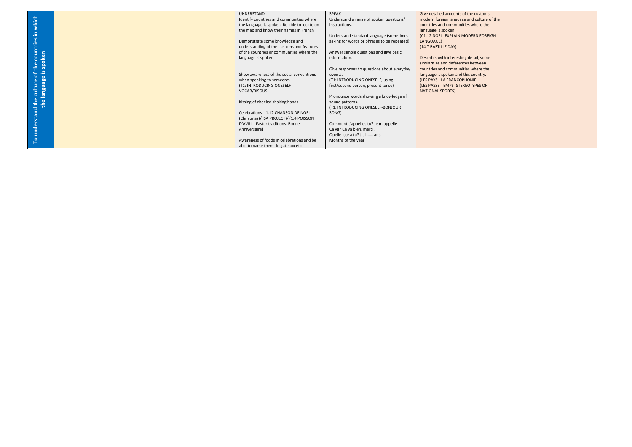|                                                |  | UNDERSTAND                                   | SPEAK                                        | Give detailed accounts of the customs,     |  |
|------------------------------------------------|--|----------------------------------------------|----------------------------------------------|--------------------------------------------|--|
| which                                          |  | Identify countries and communities where     | Understand a range of spoken questions/      | modern foreign language and culture of the |  |
|                                                |  | the language is spoken. Be able to locate on | instructions.                                | countries and communities where the        |  |
|                                                |  | the map and know their names in French       |                                              | language is spoken.                        |  |
| 르.                                             |  |                                              | Understand standard language (sometimes      | (01.12 NOEL- EXPLAIN MODERN FOREIGN        |  |
|                                                |  | Demonstrate some knowledge and               | asking for words or phrases to be repeated). | LANGUAGE)                                  |  |
|                                                |  | understanding of the customs and features    |                                              | (14.7 BASTILLE DAY)                        |  |
|                                                |  | of the countries or communities where the    | Answer simple questions and give basic       |                                            |  |
| the countries<br>s spoken                      |  | language is spoken.                          | information.                                 | Describe, with interesting detail, some    |  |
|                                                |  |                                              |                                              | similarities and differences between       |  |
|                                                |  |                                              | Give responses to questions about everyday   | countries and communities where the        |  |
| understand the culture of :<br>the language is |  | Show awareness of the social conventions     | events.                                      | language is spoken and this country.       |  |
|                                                |  | when speaking to someone.                    | (T1: INTRODUCING ONESELF, using              | (LES PAYS- LA FRANCOPHONIE)                |  |
|                                                |  | (T1: INTRODUCING ONESELF-                    | first/second person, present tense)          | (LES PASSE-TEMPS- STEREOTYPES OF           |  |
|                                                |  | VOCAB/BISOUS)                                |                                              | <b>NATIONAL SPORTS)</b>                    |  |
|                                                |  |                                              | Pronounce words showing a knowledge of       |                                            |  |
|                                                |  | Kissing of cheeks/ shaking hands             | sound patterns.                              |                                            |  |
|                                                |  |                                              | (T1: INTRODUCING ONESELF-BONJOUR             |                                            |  |
|                                                |  | Celebrations- (1.12 CHANSON DE NOEL          | SONG)                                        |                                            |  |
|                                                |  | (Christmas)/ ISA PROJECT)/ (1.4 POISSON      |                                              |                                            |  |
|                                                |  | D'AVRIL) Easter traditions. Bonne            | Comment t'appelles tu? Je m'appelle          |                                            |  |
|                                                |  | Anniversaire!                                | Ca va? Ca va bien, merci.                    |                                            |  |
|                                                |  |                                              | Quelle age a tu? J'ai  ans.                  |                                            |  |
| ٩                                              |  | Awareness of foods in celebrations and be    | Months of the year                           |                                            |  |
|                                                |  | able to name them- le gateaux etc            |                                              |                                            |  |